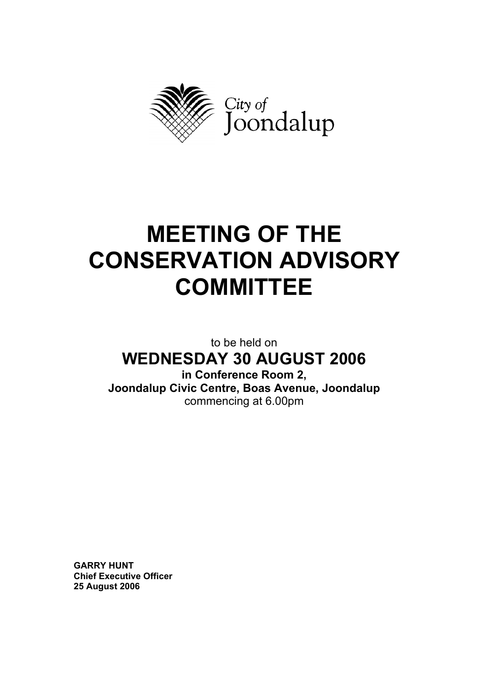

# **MEETING OF THE CONSERVATION ADVISORY COMMITTEE**

## to be held on **WEDNESDAY 30 AUGUST 2006**

**in Conference Room 2, Joondalup Civic Centre, Boas Avenue, Joondalup**  commencing at 6.00pm

**GARRY HUNT Chief Executive Officer 25 August 2006**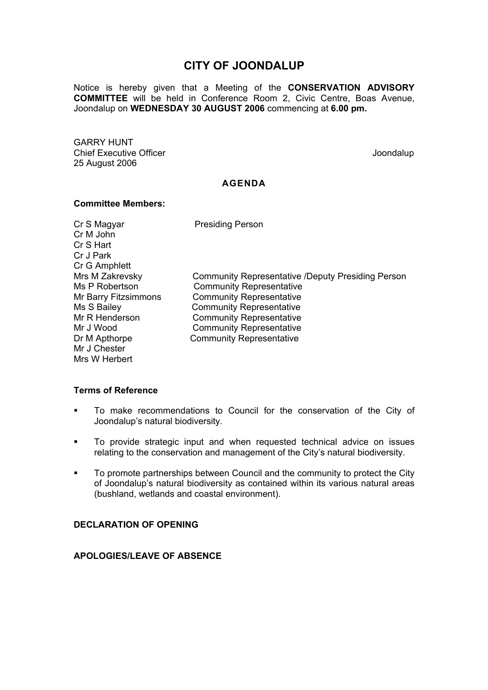### **CITY OF JOONDALUP**

Notice is hereby given that a Meeting of the **CONSERVATION ADVISORY COMMITTEE** will be held in Conference Room 2, Civic Centre, Boas Avenue, Joondalup on **WEDNESDAY 30 AUGUST 2006** commencing at **6.00 pm.** 

GARRY HUNT Chief Executive Officer  $\Box$  Joondalup Joondalup 25 August 2006

#### **AGENDA**

#### **Committee Members:**

Cr S Magyar Presiding Person Cr M John Cr S Hart Cr J Park Cr G Amphlett Mr J Chester Mrs W Herbert

Mrs M Zakrevsky Community Representative /Deputy Presiding Person Ms P Robertson **Community Representative** Mr Barry Fitzsimmons Community Representative Ms S Bailey **Community Representative** Mr R Henderson Community Representative Mr J Wood Community Representative Dr M Apthorpe Community Representative

#### **Terms of Reference**

- To make recommendations to Council for the conservation of the City of Joondalup's natural biodiversity.
- To provide strategic input and when requested technical advice on issues relating to the conservation and management of the City's natural biodiversity.
- To promote partnerships between Council and the community to protect the City of Joondalup's natural biodiversity as contained within its various natural areas (bushland, wetlands and coastal environment).

#### **DECLARATION OF OPENING**

#### **APOLOGIES/LEAVE OF ABSENCE**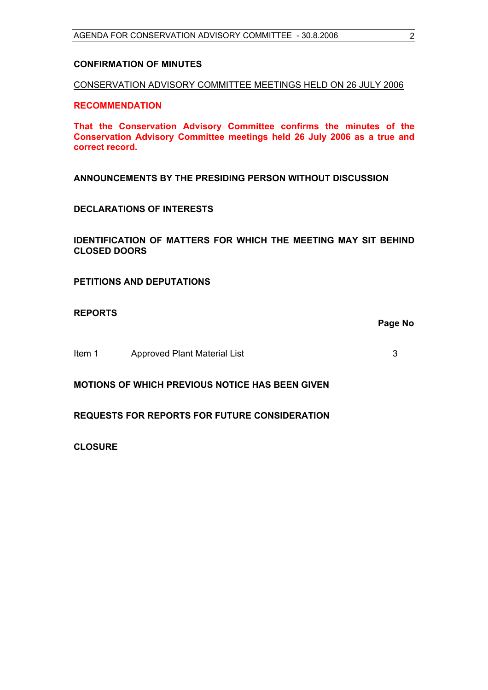#### **CONFIRMATION OF MINUTES**

CONSERVATION ADVISORY COMMITTEE MEETINGS HELD ON 26 JULY 2006

#### **RECOMMENDATION**

**That the Conservation Advisory Committee confirms the minutes of the Conservation Advisory Committee meetings held 26 July 2006 as a true and correct record.** 

**ANNOUNCEMENTS BY THE PRESIDING PERSON WITHOUT DISCUSSION** 

#### **DECLARATIONS OF INTERESTS**

**IDENTIFICATION OF MATTERS FOR WHICH THE MEETING MAY SIT BEHIND CLOSED DOORS** 

**PETITIONS AND DEPUTATIONS** 

**REPORTS** 

**Page No** 

Item 1 Approved Plant Material List 3

**MOTIONS OF WHICH PREVIOUS NOTICE HAS BEEN GIVEN** 

#### **REQUESTS FOR REPORTS FOR FUTURE CONSIDERATION**

**CLOSURE**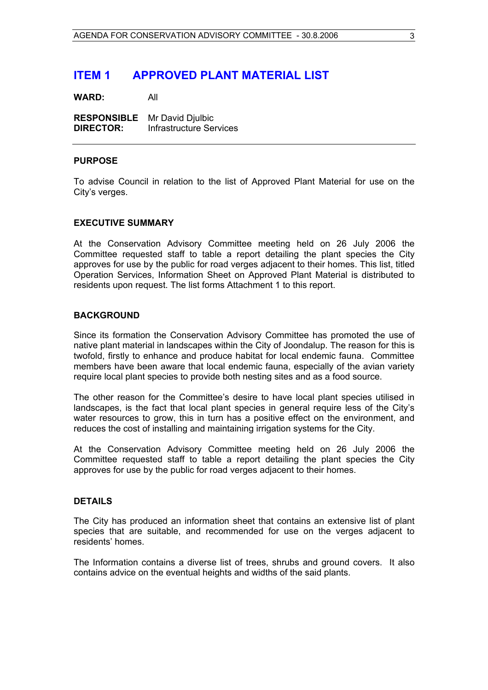### <span id="page-3-0"></span>**ITEM 1 APPROVED PLANT MATERIAL LIST**

**WARD:** All

**RESPONSIBLE** Mr David Djulbic **DIRECTOR:** Infrastructure Services

#### **PURPOSE**

To advise Council in relation to the list of Approved Plant Material for use on the City's verges.

#### **EXECUTIVE SUMMARY**

At the Conservation Advisory Committee meeting held on 26 July 2006 the Committee requested staff to table a report detailing the plant species the City approves for use by the public for road verges adjacent to their homes. This list, titled Operation Services, Information Sheet on Approved Plant Material is distributed to residents upon request. The list forms Attachment 1 to this report.

#### **BACKGROUND**

Since its formation the Conservation Advisory Committee has promoted the use of native plant material in landscapes within the City of Joondalup. The reason for this is twofold, firstly to enhance and produce habitat for local endemic fauna. Committee members have been aware that local endemic fauna, especially of the avian variety require local plant species to provide both nesting sites and as a food source.

The other reason for the Committee's desire to have local plant species utilised in landscapes, is the fact that local plant species in general require less of the City's water resources to grow, this in turn has a positive effect on the environment, and reduces the cost of installing and maintaining irrigation systems for the City.

At the Conservation Advisory Committee meeting held on 26 July 2006 the Committee requested staff to table a report detailing the plant species the City approves for use by the public for road verges adjacent to their homes.

#### **DETAILS**

The City has produced an information sheet that contains an extensive list of plant species that are suitable, and recommended for use on the verges adjacent to residents' homes.

The Information contains a diverse list of trees, shrubs and ground covers. It also contains advice on the eventual heights and widths of the said plants.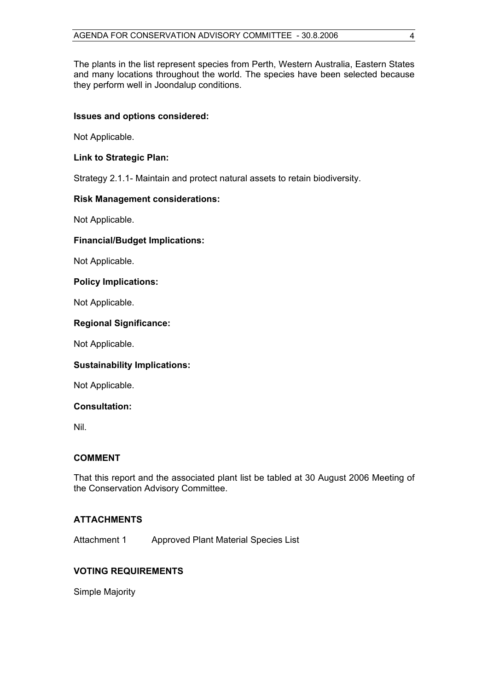The plants in the list represent species from Perth, Western Australia, Eastern States and many locations throughout the world. The species have been selected because they perform well in Joondalup conditions.

#### **Issues and options considered:**

Not Applicable.

#### **Link to Strategic Plan:**

Strategy 2.1.1- Maintain and protect natural assets to retain biodiversity.

#### **Risk Management considerations:**

Not Applicable.

#### **Financial/Budget Implications:**

Not Applicable.

#### **Policy Implications:**

Not Applicable.

#### **Regional Significance:**

Not Applicable.

#### **Sustainability Implications:**

Not Applicable.

#### **Consultation:**

Nil.

#### **COMMENT**

That this report and the associated plant list be tabled at 30 August 2006 Meeting of the Conservation Advisory Committee.

#### **ATTACHMENTS**

Attachment 1 Approved Plant Material Species List

#### **VOTING REQUIREMENTS**

Simple Majority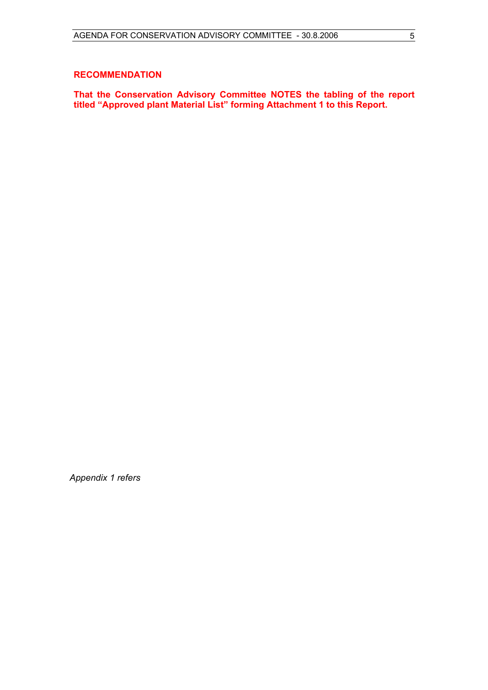#### **RECOMMENDATION**

**That the Conservation Advisory Committee NOTES the tabling of the report titled "Approved plant Material List" forming Attachment 1 to this Report.**

*Appendix 1 refers*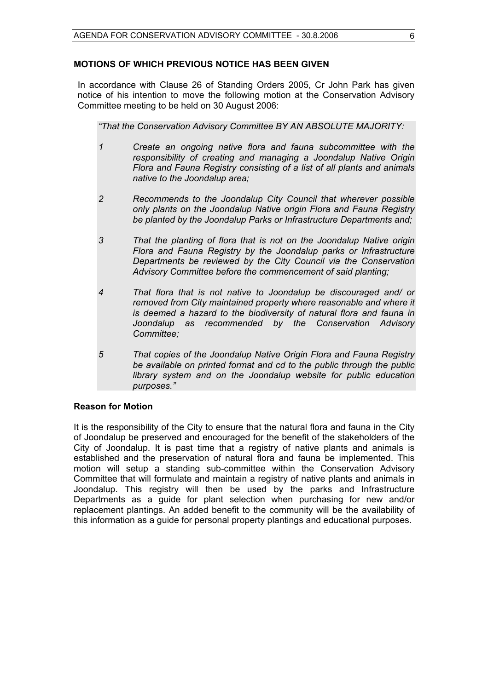#### **MOTIONS OF WHICH PREVIOUS NOTICE HAS BEEN GIVEN**

In accordance with Clause 26 of Standing Orders 2005, Cr John Park has given notice of his intention to move the following motion at the Conservation Advisory Committee meeting to be held on 30 August 2006:

*"That the Conservation Advisory Committee BY AN ABSOLUTE MAJORITY:* 

- *1 Create an ongoing native flora and fauna subcommittee with the responsibility of creating and managing a Joondalup Native Origin Flora and Fauna Registry consisting of a list of all plants and animals native to the Joondalup area;*
- *2 Recommends to the Joondalup City Council that wherever possible only plants on the Joondalup Native origin Flora and Fauna Registry be planted by the Joondalup Parks or Infrastructure Departments and;*
- *3 That the planting of flora that is not on the Joondalup Native origin Flora and Fauna Registry by the Joondalup parks or Infrastructure Departments be reviewed by the City Council via the Conservation Advisory Committee before the commencement of said planting;*
- *4 That flora that is not native to Joondalup be discouraged and/ or removed from City maintained property where reasonable and where it is deemed a hazard to the biodiversity of natural flora and fauna in Joondalup as recommended by the Conservation Advisory Committee;*
- *5 That copies of the Joondalup Native Origin Flora and Fauna Registry be available on printed format and cd to the public through the public library system and on the Joondalup website for public education purposes."*

#### **Reason for Motion**

It is the responsibility of the City to ensure that the natural flora and fauna in the City of Joondalup be preserved and encouraged for the benefit of the stakeholders of the City of Joondalup. It is past time that a registry of native plants and animals is established and the preservation of natural flora and fauna be implemented. This motion will setup a standing sub-committee within the Conservation Advisory Committee that will formulate and maintain a registry of native plants and animals in Joondalup. This registry will then be used by the parks and Infrastructure Departments as a guide for plant selection when purchasing for new and/or replacement plantings. An added benefit to the community will be the availability of this information as a guide for personal property plantings and educational purposes.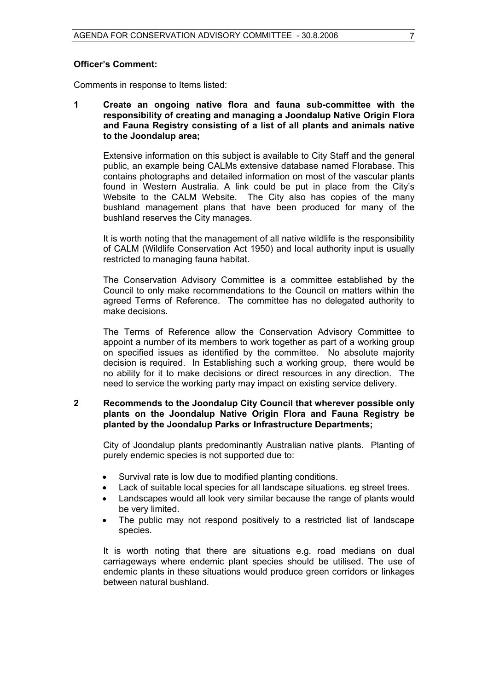Comments in response to Items listed:

**1 Create an ongoing native flora and fauna sub-committee with the responsibility of creating and managing a Joondalup Native Origin Flora and Fauna Registry consisting of a list of all plants and animals native to the Joondalup area;**

Extensive information on this subject is available to City Staff and the general public, an example being CALMs extensive database named Florabase. This contains photographs and detailed information on most of the vascular plants found in Western Australia. A link could be put in place from the City's Website to the CALM Website. The City also has copies of the many bushland management plans that have been produced for many of the bushland reserves the City manages.

It is worth noting that the management of all native wildlife is the responsibility of CALM (Wildlife Conservation Act 1950) and local authority input is usually restricted to managing fauna habitat.

The Conservation Advisory Committee is a committee established by the Council to only make recommendations to the Council on matters within the agreed Terms of Reference. The committee has no delegated authority to make decisions.

The Terms of Reference allow the Conservation Advisory Committee to appoint a number of its members to work together as part of a working group on specified issues as identified by the committee. No absolute majority decision is required. In Establishing such a working group, there would be no ability for it to make decisions or direct resources in any direction. The need to service the working party may impact on existing service delivery.

#### **2 Recommends to the Joondalup City Council that wherever possible only plants on the Joondalup Native Origin Flora and Fauna Registry be planted by the Joondalup Parks or Infrastructure Departments;**

City of Joondalup plants predominantly Australian native plants. Planting of purely endemic species is not supported due to:

- Survival rate is low due to modified planting conditions.
- Lack of suitable local species for all landscape situations. eg street trees.
- Landscapes would all look very similar because the range of plants would be very limited.
- The public may not respond positively to a restricted list of landscape species.

 It is worth noting that there are situations e.g. road medians on dual carriageways where endemic plant species should be utilised. The use of endemic plants in these situations would produce green corridors or linkages between natural bushland.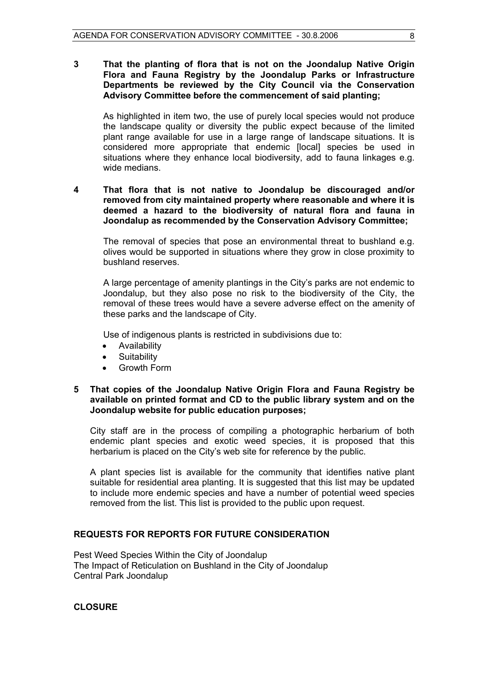**3 That the planting of flora that is not on the Joondalup Native Origin Flora and Fauna Registry by the Joondalup Parks or Infrastructure Departments be reviewed by the City Council via the Conservation Advisory Committee before the commencement of said planting;** 

As highlighted in item two, the use of purely local species would not produce the landscape quality or diversity the public expect because of the limited plant range available for use in a large range of landscape situations. It is considered more appropriate that endemic [local] species be used in situations where they enhance local biodiversity, add to fauna linkages e.g. wide medians.

#### **4 That flora that is not native to Joondalup be discouraged and/or removed from city maintained property where reasonable and where it is deemed a hazard to the biodiversity of natural flora and fauna in Joondalup as recommended by the Conservation Advisory Committee;**

The removal of species that pose an environmental threat to bushland e.g. olives would be supported in situations where they grow in close proximity to bushland reserves.

A large percentage of amenity plantings in the City's parks are not endemic to Joondalup, but they also pose no risk to the biodiversity of the City, the removal of these trees would have a severe adverse effect on the amenity of these parks and the landscape of City.

Use of indigenous plants is restricted in subdivisions due to:

- Availability
- Suitability
- Growth Form

#### **5 That copies of the Joondalup Native Origin Flora and Fauna Registry be available on printed format and CD to the public library system and on the Joondalup website for public education purposes;**

 City staff are in the process of compiling a photographic herbarium of both endemic plant species and exotic weed species, it is proposed that this herbarium is placed on the City's web site for reference by the public.

A plant species list is available for the community that identifies native plant suitable for residential area planting. It is suggested that this list may be updated to include more endemic species and have a number of potential weed species removed from the list. This list is provided to the public upon request.

#### **REQUESTS FOR REPORTS FOR FUTURE CONSIDERATION**

Pest Weed Species Within the City of Joondalup The Impact of Reticulation on Bushland in the City of Joondalup Central Park Joondalup

**CLOSURE**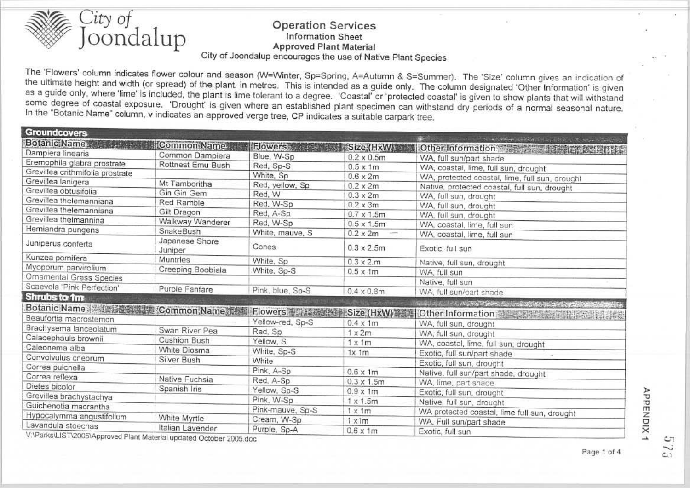

#### **Operation Services Information Sheet Approved Plant Material** City of Joondalup encourages the use of Native Plant Species

The 'Flowers' column indicates flower colour and season (W=Winter, Sp=Spring, A=Autumn & S=Summer). The 'Size' column gives an indication of the ultimate height and width (or spread) of the plant, in metres. This is intended as a guide only. The column designated 'Other Information' is given as a guide only, where 'lime' is included, the plant is lime tolerant to a degree. 'Coastal' or 'protected coastal' is given to show plants that will withstand some degree of coastal exposure. 'Drought' is given where an established plant specimen can withstand dry periods of a normal seasonal nature. In the "Botanic Name" column, v indicates an approved verge tree, CP indicates a suitable carpark tree.

| <b>Groundcovers</b>                             |                   |                  |                    |                                                                                                                                                                                                                               |
|-------------------------------------------------|-------------------|------------------|--------------------|-------------------------------------------------------------------------------------------------------------------------------------------------------------------------------------------------------------------------------|
| <b>Botanic Name</b>                             | Common Name       | <b>Flowers</b>   | Size (HxW)         | The Republic County of the State of the State of the State of the State of the State of the State of the State of the State of the State of the State of the State of the State of the State of the State of the State of the |
| Dampiera linearis                               | Common Dampiera   | Blue, W-Sp       | $0.2 \times 0.5$ m | Other Information and Control of the Basic Hitter<br>WA, full sun/part shade                                                                                                                                                  |
| Eremophila glabra prostrate                     | Rottnest Emu Bush | Red, Sp-S        | $0.5 \times 1m$    |                                                                                                                                                                                                                               |
| Grevillea crithmifolia prostrate                |                   | White, Sp        | $0.6 \times 2m$    | WA, coastal, lime, full sun, drought                                                                                                                                                                                          |
| Grevillea lanigera                              | Mt Tamboritha     | Red, yellow, Sp. | $0.2 \times 2m$    | WA, protected coastal, lime, full sun, drought                                                                                                                                                                                |
| Grevillea obtusifolia                           | Gin Gin Gem       | Red, W           | $0.3 \times 2m$    | Native, protected coastal, full sun, drought                                                                                                                                                                                  |
| Grevillea thelemanniana                         | Red Ramble        | Red, W-Sp        | $0.2 \times 3m$    | WA, full sun, drought                                                                                                                                                                                                         |
| Grevillea thelemanniana                         | Gilt Dragon       | Red, A-Sp        | $0.7 \times 1.5$ m | WA, full sun, drought                                                                                                                                                                                                         |
| Grevillea thelmannina                           | Walkway Wanderer  | Red, W-Sp        |                    | WA, full sun, drought                                                                                                                                                                                                         |
| Hemiandra pungens                               | SnakeBush         | White, mauve, S  | $0.5 \times 1.5$ m | WA, coastal, lime, full sun                                                                                                                                                                                                   |
|                                                 | Japanese Shore    |                  | $0.2 \times 2m$    | WA, coastal, lime, full sun                                                                                                                                                                                                   |
| Juniperus conferta                              | Juniper           | Cones            | $0.3 \times 2.5$ m | Exotic, full sun                                                                                                                                                                                                              |
| Kunzea pomifera                                 | Muntries          | White, Sp        | $0.3 \times 2.m$   | Native, full sun, drought                                                                                                                                                                                                     |
| Myoporum parvirolium                            | Creeping Boobiala | White, Sp-S      | $0.5 \times 1m$    | WA, full sun                                                                                                                                                                                                                  |
| Ornamental Grass Species                        |                   |                  |                    | Native, full sun                                                                                                                                                                                                              |
| Scaevola 'Pink Perfection'                      | Purple Fanfare    | Pink, blue, Sp-S | $0.4 \times 0.8$ m | WA, full sun/part shade                                                                                                                                                                                                       |
| Shrubs to 1m                                    |                   |                  |                    |                                                                                                                                                                                                                               |
| Botanic Name and Common Name a Ra               |                   | Flowers 高分離機能器   | Size (HxW)         | here is a contract the second contract of the second contract of the                                                                                                                                                          |
| Beaufortia macrostemon                          |                   | Yellow-red, Sp-S |                    | Other Information                                                                                                                                                                                                             |
| Brachysema lanceolatum                          | Swan River Pea    | Red, Sp          | $0.4 \times 1m$    | WA, full sun, drought                                                                                                                                                                                                         |
| Calacephauls brownii                            | Cushion Bush      | Yellow, S        | $1 \times 2m$      | WA, full sun, drought                                                                                                                                                                                                         |
| Caleonema alba                                  | White Diosma      |                  | $1 \times 1m$      | WA, coastal, lime, full sun, drought                                                                                                                                                                                          |
| Convolvulus cneorum                             | Silver Bush       | White, Sp-S      | 1x 1m              | Exotic, full sun/part shade                                                                                                                                                                                                   |
| Correa pulchella                                |                   | White            |                    | Exotic, full sun, drought                                                                                                                                                                                                     |
| Correa reflexa                                  | Native Fuchsia    | Pink, A-Sp       | $0.6 \times 1m$    | Native, full sun/part shade, drought                                                                                                                                                                                          |
| Dietes bicolor                                  |                   | Red, A-Sp        | $0.3 \times 1.5$ m | WA, lime, part shade                                                                                                                                                                                                          |
| Grevillea brachystachya                         | Spanish Iris      | Yellow, Sp-S     | $0.9 \times 1m$    | Exotic, full sun, drought                                                                                                                                                                                                     |
| Guichenotia macrantha                           |                   | Pink, W-Sp       | $1 \times 1.5$ m   | Native, full sun, drought                                                                                                                                                                                                     |
|                                                 |                   | Pink-mauve, Sp-S | $1 \times 1m$      | WA protected coastal, lime full sun, drought                                                                                                                                                                                  |
| Hypocalymma angustifolium<br>Lavandula stoechas | White Myrtle      | Cream, W-Sp      | $1 \times 1m$      | WA, Full sun/part shade                                                                                                                                                                                                       |
|                                                 | Italian Lavender  | Purple, Sp-A     | $0.6 \times 1m$    | Exotic, full sun                                                                                                                                                                                                              |

V:\Parks\LIST\2005\Approved Plant Material updated October 2005.doc

APPENDIX 1

J.

۵h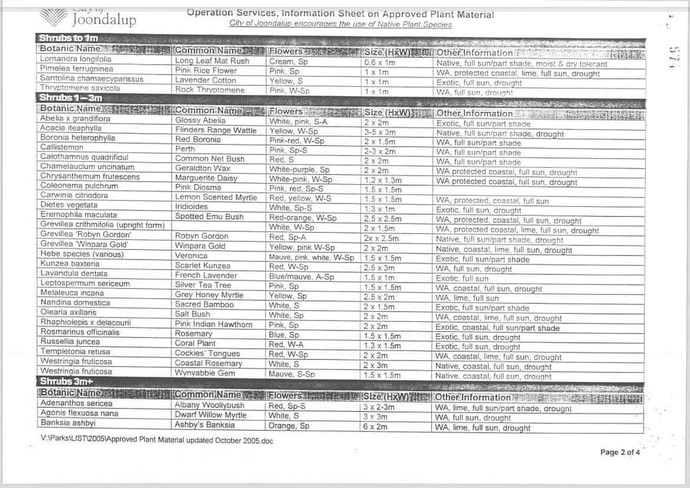

# Operation Services, Information Sheet on Approved Plant Material<br>City of Joondalup encourages the use of Native Plant Species

| Shrubs to 1m                                          | says a call of the uses and the faither of the state of |                                 |                    |                                                                                   |
|-------------------------------------------------------|---------------------------------------------------------|---------------------------------|--------------------|-----------------------------------------------------------------------------------|
| Botanic Name 2008 1999 The Common Name was            |                                                         |                                 |                    | Elowers 石刻系统 ( ISize (HxW) 图集 Other Information T T T T T T T T T T T T T T T T T |
| Lomandra longifolia                                   | Long Leaf Mat Rush                                      | Cream, Sp                       | $0.6 \times 1m$    | Native, full sun/part shade, moist & dry tolerant                                 |
| Pimelea ferrugninea                                   | Pink Rice Flower                                        | Pink, Sp.                       | $1 \times 1m$      |                                                                                   |
| Santolina chamaecyparissus                            | Lavender Cotton                                         | Yellow, S                       | $1 \times 1m$      | WA, protected coastal, lime, full sun, drought<br>Exotic, full sun, drought       |
| Thryptomene saxicola                                  | Rock Thryptomene                                        | Pink, W-Sp                      | $1 \times 1m$      | WA, full sun, drought                                                             |
| Shrubs 1-3m                                           |                                                         | <b>スター 日本語 (音楽)</b>             | <b>SOLEINGLIS</b>  |                                                                                   |
| Botanic Name <b>All Acts of State Common Name All</b> |                                                         | Flowers <b>All The Property</b> | Size (HxW)         | Special of the State and the State of Art Adviser                                 |
| Abelia x grandiflora                                  | Glossy Abelia                                           | White, pink, S-A                | $2 \times 2m$      | Other Information + season discussed in which                                     |
| Acacia iteaphylla                                     | Flinders Range Wattle                                   | Yellow, W-Sp                    | $3-5 \times 3m$    | Exotic, full sun/part shade                                                       |
| Boronia heterophylla                                  | Red Boronia                                             | Pink-red, W-Sp                  | $2 \times 1.5$ m   | Native, full sun/part shade, drought                                              |
| Callistemon                                           | Perth                                                   | Pink, Sp-S                      | $2-3 \times 2m$    | WA, full sun/part shade                                                           |
| Calothamnus quadrifidul                               | Common Net Bush                                         | Red, S                          | $2 \times 2m$      | WA, full sun/part shade<br>WA, full sun/part shade                                |
| Chamelaucium uncinatum                                | Geraldton Wax                                           | White-purple, Sp                | $2 \times 2m$      |                                                                                   |
| Chrysanthemum frutescens                              | Marguerite Daisy                                        | White-pink, W-Sp                | $1.2 \times 1.3$ m | WA protected coastal, full sun, drought                                           |
| Coleonema pulchrum                                    | Pink Diosma                                             | Pink, red, Sp-S                 | $1.5 \times 1.5m$  | WA protected coastal, full sun, drought                                           |
| Carwinia citriodora                                   | Lemon Scented Myrtle                                    | Red, yellow, W-S                | $1.5 \times 1.5m$  |                                                                                   |
| Dietes vegetata                                       | Iridioides                                              | White, Sp-S                     | $1.3 \times 1m$    | WA, protected, coastal, full sun<br>Exotic, full sun, drought                     |
| Eremophila maculata                                   | Spotted Emu Bush                                        | Red-orange, W-Sp                | $2.5 \times 2.5m$  |                                                                                   |
| Grevillea crithmifolia (upright form)                 |                                                         | White, W-Sp                     | $2 \times 1.5$ m   | WA, protected, coastal, full sun, drought                                         |
| Grevillea 'Robyn Gordon'                              | Robyn Gordon                                            | Red, Sp-A                       | $2x \times 2.5m$   | WA, protected coastal, lime, full sun, drought                                    |
| Grevillea 'Winpara Gold'                              | Winpara Gold                                            | Yellow, pink W-Sp               | $2 \times 2m$      | Native, full sun/part shade, drought<br>Native, coastal, lime, full sun, drought  |
| Hebe species (various)                                | Veronica                                                | Mauve, pink, white, W-Sp        | $1.5 \times 1.5m$  |                                                                                   |
| Kunzea baxteria                                       | Scarlet Kunzea                                          | Red, W-Sp                       | $2.5 \times 3m$    | Exotic, full sun/part shade<br>WA, full sun, drought                              |
| Lavandula dentata                                     | French Lavender                                         | Blue/mauve, A-Sp                | $1.5 \times 1m$    | Exotic, full sun                                                                  |
| Leptospermum sericeum                                 | Silver Tea Tree                                         | Pink, Sp                        | $1.5 \times 1.5m$  |                                                                                   |
| Melaleuca incana                                      | Grey Honey Myrtle                                       | Yellow, Sp                      | $2.5 \times 2m$    | WA, coastal, full sun, drought<br>WA, lime, full sun                              |
| Nandina domestica                                     | Sacred Bamboo                                           | White, S                        | $2 \times 1.5$ m   |                                                                                   |
| Olearia axillaris                                     | Salt Bush                                               | White, Sp                       | $2 \times 2m$      | Exotic, full sun/part shade                                                       |
| Rhaphiolepis x delacourii                             | Pink Indian Hawthorn                                    | Pink, Sp                        | $2 \times 2m$      | WA, coastal, lime, full sun, drought                                              |
| Rosmarinus officinalis                                | Rosemary                                                | Blue, Sp                        | $1.5 \times 1.5m$  | Exotic, coastal, full sun/part shade                                              |
| Russellia juncea                                      | Coral Plant                                             | Red, W-A                        | $1.3 \times 1.5m$  | Exotic, full sun, drought                                                         |
| Templetonia retusa                                    | Cockies' Tongues                                        | Red, W-Sp                       | $2 \times 2m$      | Exotic, full sun, drought                                                         |
| Westringia fruticosa                                  | Coastal Rosemary                                        | White, S                        | $2 \times 3m$      | WA, coastal, lime, full sun, drought                                              |
| Westringia fruticosa                                  | Wynyabbie Gem                                           | Mauve, S-Sp                     | $1.5 \times 1.5m$  | Native, coastal, full sun, drought                                                |
| Shrubs 3m+                                            |                                                         |                                 |                    | Native, coastal, full sun, drought                                                |
| Botanic Name: 21 - 11                                 |                                                         | Common Name Flowers             | the <b>Country</b> | The AL SECOND PROPERTY OF A 1990 CONDITIONS                                       |
| Adenanthos sericea                                    |                                                         |                                 | Size (HxW)         | Other Information & English Hotel District Lines                                  |
| Agonis flexuosa nana                                  | Albany Woollybush<br>Dwarf Willow Myrtle                | Red, Sp-S                       | $3 \times 2 - 3m$  | WA, lime, full sun/part shade, drought                                            |
| Banksia ashbyi                                        |                                                         | White, S                        | $3 \times 3m$      | WA, full sun, drought                                                             |
|                                                       | Ashby's Banksia                                         | Orange, Sp                      | $6 \times 2m$      | WA, lime, full sun, drought                                                       |

V:\Parks\LIST\2005\Approved Plant Material updated October 2005.doc

تت i. A.

 $\mathbf{M}$  . Y.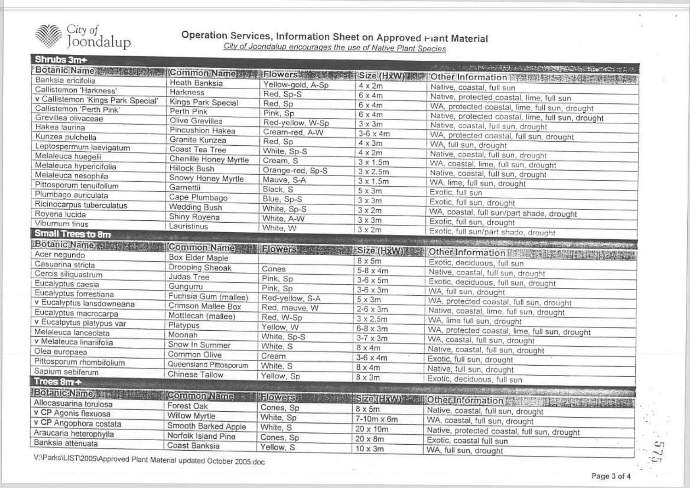

Operation Services, Information Sheet on Approved Hant Material

City of Joondalup encourages the use of Native Plant Species

Shrubs 3m+ Botanic Name: 1994 Mary Common Name | Flowers | Size (HxW) Mary Other Information 南京新興教授大学教授大学教授 Banksia ericifolia Heath Banksia Yellow-gold, A-Sp  $4 \times 2m$ Native, coastal, full sun Callistemon 'Harkness' Harkness Red. Sp-S  $6 \times 4m$ Native, protected coastal, lime, full sun v Callistemon 'Kings Park Special' Kings Park Special Red, Sp  $6 \times 4m$ WA, protected coastal, lime, full sun, drought Callistemon 'Perth Pink' Perth Pink Pink, Sp Native, protected coastal, lime, full sun, drought  $6x4m$ Grevillea olivaceae Olive Grevillea Red-yellow, W-Sp  $3 \times 3m$ Native, coastal, full sun, drought Hakea laurina Pincushion Hakea Cream-red, A-W  $3-6 \times 4m$ WA, protected coastal, full sun, drought Kunzea pulchella Granite Kunzea Red. So  $4 \times 3m$ WA, full sun, drought Leptospermum laevigatum Coast Tea Tree White, Sp-S  $4 \times 2m$ Native, coastal, full sun, drought Melaleuca huegelii Chenille Honey Myrtle Cream S  $3 \times 1.5$ m WA, coastal, lime, full sun, drought Melaleuca hypericifolia Hillock Bush Orange-red, Sp-S  $3 \times 2.5m$ Native, coastal, full sun, drought Melaleuca nesophila Snowy Honey Myrtle Mauve, S-A  $3 \times 1.5$ m WA, lime, full sun, drought Pittosporum tenuifolium Garnettii Black, S  $5x3m$ Exotic, full sun Plumbago auriculata Cape Plumbago Blue, Sp-S  $3 \times 3m$ Exotic, full sun, drought Ricinocarpus tuberculatus Wedding Bush White, Sp-S  $3x2m$ WA, coastal, full sun/part shade, drought Royena lucida Shiny Royena White, A-W  $3 \times 3m$ Exotic, full sun, drought Viburnum tinus Lauristinus White, W  $3x2m$ Exotic, full sun/part shade, drought **Small Trees to 8m** the contract of the condition of the condition of the condition of the condition of the condition of the condition of Botanic Name Common Name Filewers Acer negundo Box Elder Maple  $8 \times 5m$ Exotic, deciduous, full sun Casuarina stricta Drooping Sheoak Cones  $5-8 \times 4m$ Native, coastal, full sun, drought Cercis siliquastrum Judas Tree Pink, Sp Exotic, deciduous, full sun, drought  $3-6 \times 5m$ Eucalyptus caesia Gungurru Pink, Sp  $3-6 \times 3m$ WA, full sun, drought Eucalyptus forrestiana Fuchsia Gum (mallee) Red-yellow, S-A  $5 \times 3m$ WA, protected coastal, full sun, drought v Eucalyptus lansdowneana Crimson Mallee Box Red, mauve, W  $2-6 \times 3m$ Native, coastal, lime, full sun, drought Eucalyptus macrocarpa Mottlecah (mallee) Red, W-Sp  $3 \times 2.5m$ WA, lime full sun, drought v Eucalpytus platypus var Platypus Yellow. W  $6-8 \times 3m$ WA, protected coastal, lime, full sun, drought Melaleuca lanceolata Moonah White, Sp-S  $3-7 \times 3m$ WA, coastal, full sun, drought v Melaleuca linariifolia Snow In Summer White, S  $8x4m$ Native, coastal, full sun, drought Olea europaea Common Olive Cream  $3-6 \times 4m$ Exotic, full sun, drought Pittosporum rhombifolium Queensland Pittosporum White, S  $8 \times 4m$ Native, full sun, drought Sapium sebiferum Chinese Tallow Yellow, Sp  $8 \times 3m$ Exotic, deciduous, full sun Trees 8m+ **CONVERTIDADE MARINE DE LA CONSTITUIT ANNO** Botanic Name War (2008) Common Name **TRowers** Size (FXW) and Other Information with the product of Allocasuarina torulosa Forest Oak Cones, Sp  $8 \times 5m$ Native, coastal, full sun, drought v CP Agonis flexuosa Willow Myrtle White, Sp  $7-10m \times 6m$ WA, coastal, full sun, drought v CP Angophora costata Smooth Barked Apple White. S  $20 \times 10m$ Native, protected coastal, full sun, drought Araucaria heterophylla Norfolk Island Pine Cones, Sp  $20 \times 8m$ Exotic, coastal full sun Banksia attenuata Coast Banksia Yellow, S  $10 \times 3m$ WA, full sun, drought

V:\Parks\LIST\2005\Approved Plant Material updated October 2005.doc

C7